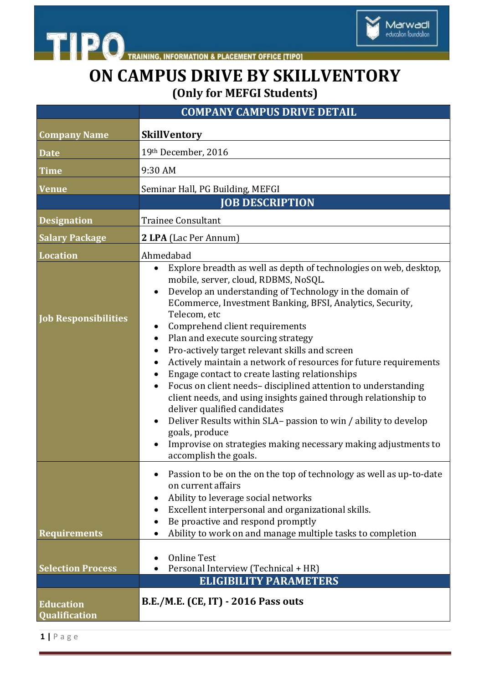



**ON CAMPUS DRIVE BY SKILLVENTORY (Only for MEFGI Students)**

|                                          | <b>COMPANY CAMPUS DRIVE DETAIL</b>                                                                                                                                                                                                                                                                                                                                                                                                                                                                                                                                                                                                                                                                                                                                                                                                                   |
|------------------------------------------|------------------------------------------------------------------------------------------------------------------------------------------------------------------------------------------------------------------------------------------------------------------------------------------------------------------------------------------------------------------------------------------------------------------------------------------------------------------------------------------------------------------------------------------------------------------------------------------------------------------------------------------------------------------------------------------------------------------------------------------------------------------------------------------------------------------------------------------------------|
| <b>Company Name</b>                      | <b>SkillVentory</b>                                                                                                                                                                                                                                                                                                                                                                                                                                                                                                                                                                                                                                                                                                                                                                                                                                  |
| <b>Date</b>                              | 19th December, 2016                                                                                                                                                                                                                                                                                                                                                                                                                                                                                                                                                                                                                                                                                                                                                                                                                                  |
| <b>Time</b>                              | 9:30 AM                                                                                                                                                                                                                                                                                                                                                                                                                                                                                                                                                                                                                                                                                                                                                                                                                                              |
| <b>Venue</b>                             | Seminar Hall, PG Building, MEFGI                                                                                                                                                                                                                                                                                                                                                                                                                                                                                                                                                                                                                                                                                                                                                                                                                     |
|                                          | <b>JOB DESCRIPTION</b>                                                                                                                                                                                                                                                                                                                                                                                                                                                                                                                                                                                                                                                                                                                                                                                                                               |
| <b>Designation</b>                       | <b>Trainee Consultant</b>                                                                                                                                                                                                                                                                                                                                                                                                                                                                                                                                                                                                                                                                                                                                                                                                                            |
| <b>Salary Package</b>                    | 2 LPA (Lac Per Annum)                                                                                                                                                                                                                                                                                                                                                                                                                                                                                                                                                                                                                                                                                                                                                                                                                                |
| <b>Location</b>                          | Ahmedabad                                                                                                                                                                                                                                                                                                                                                                                                                                                                                                                                                                                                                                                                                                                                                                                                                                            |
| <b>Job Responsibilities</b>              | Explore breadth as well as depth of technologies on web, desktop,<br>mobile, server, cloud, RDBMS, NoSQL.<br>Develop an understanding of Technology in the domain of<br>ECommerce, Investment Banking, BFSI, Analytics, Security,<br>Telecom, etc<br>Comprehend client requirements<br>Plan and execute sourcing strategy<br>Pro-actively target relevant skills and screen<br>Actively maintain a network of resources for future requirements<br>Engage contact to create lasting relationships<br>Focus on client needs-disciplined attention to understanding<br>client needs, and using insights gained through relationship to<br>deliver qualified candidates<br>Deliver Results within SLA- passion to win / ability to develop<br>goals, produce<br>Improvise on strategies making necessary making adjustments to<br>accomplish the goals. |
| <b>Requirements</b>                      | Passion to be on the on the top of technology as well as up-to-date<br>on current affairs<br>Ability to leverage social networks<br>Excellent interpersonal and organizational skills.<br>Be proactive and respond promptly<br>Ability to work on and manage multiple tasks to completion                                                                                                                                                                                                                                                                                                                                                                                                                                                                                                                                                            |
| <b>Selection Process</b>                 | <b>Online Test</b><br>Personal Interview (Technical + HR)                                                                                                                                                                                                                                                                                                                                                                                                                                                                                                                                                                                                                                                                                                                                                                                            |
|                                          | <b>ELIGIBILITY PARAMETERS</b>                                                                                                                                                                                                                                                                                                                                                                                                                                                                                                                                                                                                                                                                                                                                                                                                                        |
| <b>Education</b><br><b>Qualification</b> | <b>B.E./M.E. (CE, IT) - 2016 Pass outs</b>                                                                                                                                                                                                                                                                                                                                                                                                                                                                                                                                                                                                                                                                                                                                                                                                           |